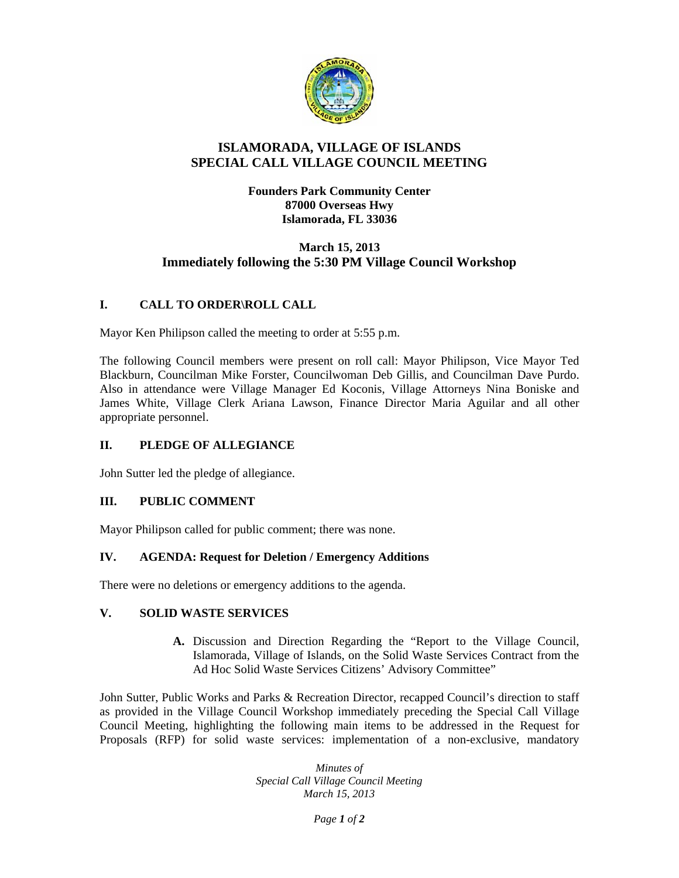

### **ISLAMORADA, VILLAGE OF ISLANDS SPECIAL CALL VILLAGE COUNCIL MEETING**

**Founders Park Community Center 87000 Overseas Hwy Islamorada, FL 33036** 

## **March 15, 2013 Immediately following the 5:30 PM Village Council Workshop**

# **I. CALL TO ORDER\ROLL CALL**

Mayor Ken Philipson called the meeting to order at 5:55 p.m.

The following Council members were present on roll call: Mayor Philipson, Vice Mayor Ted Blackburn, Councilman Mike Forster, Councilwoman Deb Gillis, and Councilman Dave Purdo. Also in attendance were Village Manager Ed Koconis, Village Attorneys Nina Boniske and James White, Village Clerk Ariana Lawson, Finance Director Maria Aguilar and all other appropriate personnel.

### **II. PLEDGE OF ALLEGIANCE**

John Sutter led the pledge of allegiance.

### **III. PUBLIC COMMENT**

Mayor Philipson called for public comment; there was none.

### **IV. AGENDA: Request for Deletion / Emergency Additions**

There were no deletions or emergency additions to the agenda.

### **V. SOLID WASTE SERVICES**

**A.** Discussion and Direction Regarding the "Report to the Village Council, Islamorada, Village of Islands, on the Solid Waste Services Contract from the Ad Hoc Solid Waste Services Citizens' Advisory Committee"

John Sutter, Public Works and Parks & Recreation Director, recapped Council's direction to staff as provided in the Village Council Workshop immediately preceding the Special Call Village Council Meeting, highlighting the following main items to be addressed in the Request for Proposals (RFP) for solid waste services: implementation of a non-exclusive, mandatory

> *Minutes of Special Call Village Council Meeting March 15, 2013*

> > *Page 1 of 2*